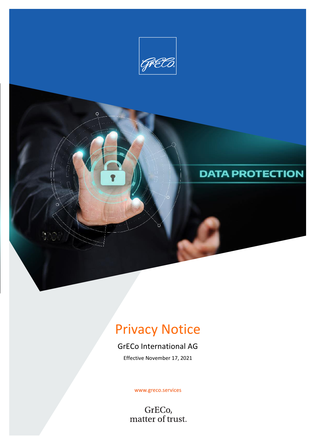

# Privacy Notice

# GrECo International AG

Effective November 17, 2021

www.greco.services

GrECo,<br>matter of trust.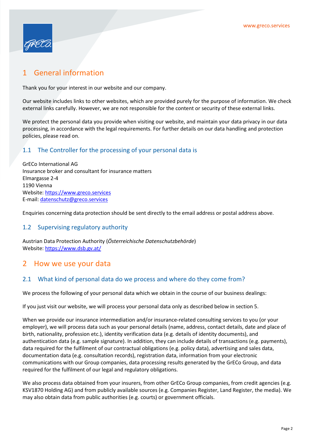

# 1 General information

Thank you for your interest in our website and our company.

Our website includes links to other websites, which are provided purely for the purpose of information. We check external links carefully. However, we are not responsible for the content or security of these external links.

We protect the personal data you provide when visiting our website, and maintain your data privacy in our data processing, in accordance with the legal requirements. For further details on our data handling and protection policies, please read on.

#### 1.1 The Controller for the processing of your personal data is

GrECo International AG Insurance broker and consultant for insurance matters Elmargasse 2-4 1190 Vienna Website: https://www.greco.services E-mail: datenschutz@greco.services

Enquiries concerning data protection should be sent directly to the email address or postal address above.

#### 1.2 Supervising regulatory authority

Austrian Data Protection Authority (Österreichische Datenschutzbehörde) Website: https://www.dsb.gv.at/

#### 2 How we use your data

#### 2.1 What kind of personal data do we process and where do they come from?

We process the following of your personal data which we obtain in the course of our business dealings:

If you just visit our website, we will process your personal data only as described below in section 5.

When we provide our insurance intermediation and/or insurance-related consulting services to you (or your employer), we will process data such as your personal details (name, address, contact details, date and place of birth, nationality, profession etc.), identity verification data (e.g. details of identity documents), and authentication data (e.g. sample signature). In addition, they can include details of transactions (e.g. payments), data required for the fulfilment of our contractual obligations (e.g. policy data), advertising and sales data, documentation data (e.g. consultation records), registration data, information from your electronic communications with our Group companies, data processing results generated by the GrECo Group, and data required for the fulfilment of our legal and regulatory obligations.

We also process data obtained from your insurers, from other GrECo Group companies, from credit agencies (e.g. KSV1870 Holding AG) and from publicly available sources (e.g. Companies Register, Land Register, the media). We may also obtain data from public authorities (e.g. courts) or government officials.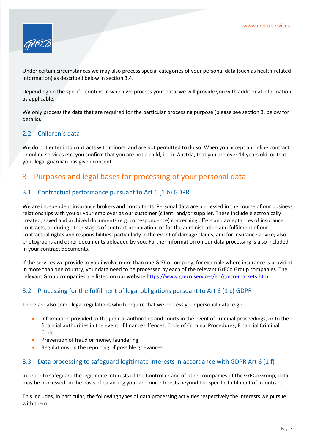

Under certain circumstances we may also process special categories of your personal data (such as health-related information) as described below in section 3.4.

Depending on the specific context in which we process your data, we will provide you with additional information, as applicable.

We only process the data that are required for the particular processing purpose (please see section 3. below for details).

#### 2.2 Children's data

We do not enter into contracts with minors, and are not permitted to do so. When you accept an online contract or online services etc, you confirm that you are not a child, i.e. in Austria, that you are over 14 years old, or that your legal guardian has given consent.

## 3 Purposes and legal bases for processing of your personal data

#### 3.1 Contractual performance pursuant to Art 6 (1 b) GDPR

We are independent insurance brokers and consultants. Personal data are processed in the course of our business relationships with you or your employer as our customer (client) and/or supplier. These include electronically created, saved and archived documents (e.g. correspondence) concerning offers and acceptances of insurance contracts, or during other stages of contract preparation, or for the administration and fulfilment of our contractual rights and responsibilities, particularly in the event of damage claims, and for insurance advice; also photographs and other documents uploaded by you. Further information on our data processing is also included in your contract documents.

If the services we provide to you involve more than one GrECo company, for example where insurance is provided in more than one country, your data need to be processed by each of the relevant GrECo Group companies. The relevant Group companies are listed on our website https://www.greco.services/en/greco-markets.html.

#### 3.2 Processing for the fulfilment of legal obligations pursuant to Art 6 (1 c) GDPR

There are also some legal regulations which require that we process your personal data, e.g.:

- information provided to the judicial authorities and courts in the event of criminal proceedings, or to the financial authorities in the event of finance offences: Code of Criminal Procedures, Financial Criminal Code
- Prevention of fraud or money laundering
- Regulations on the reporting of possible grievances

#### 3.3 Data processing to safeguard legitimate interests in accordance with GDPR Art 6 (1 f)

In order to safeguard the legitimate interests of the Controller and of other companies of the GrECo Group, data may be processed on the basis of balancing your and our interests beyond the specific fulfilment of a contract.

This includes, in particular, the following types of data processing activities respectively the interests we pursue with them: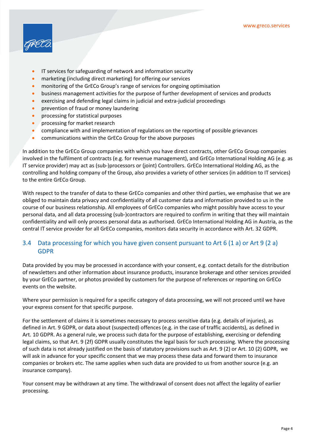

- IT services for safeguarding of network and information security
- marketing (including direct marketing) for offering our services
- monitoring of the GrECo Group's range of services for ongoing optimisation
- business management activities for the purpose of further development of services and products
- exercising and defending legal claims in judicial and extra-judicial proceedings
- **•** prevention of fraud or money laundering
- processing for statistical purposes
- **•** processing for market research
- compliance with and implementation of regulations on the reporting of possible grievances
- communications within the GrECo Group for the above purposes

In addition to the GrECo Group companies with which you have direct contracts, other GrECo Group companies involved in the fulfilment of contracts (e.g. for revenue management), and GrECo International Holding AG (e.g. as IT service provider) may act as (sub-)processors or (joint) Controllers. GrECo International Holding AG, as the controlling and holding company of the Group, also provides a variety of other services (in addition to IT services) to the entire GrECo Group.

With respect to the transfer of data to these GrECo companies and other third parties, we emphasise that we are obliged to maintain data privacy and confidentiality of all customer data and information provided to us in the course of our business relationship. All employees of GrECo companies who might possibly have access to your personal data, and all data processing (sub-)contractors are required to confirm in writing that they will maintain confidentiality and will only process personal data as authorised. GrECo International Holding AG in Austria, as the central IT service provider for all GrECo companies, monitors data security in accordance with Art. 32 GDPR.

#### 3.4 Data processing for which you have given consent pursuant to Art 6 (1 a) or Art 9 (2 a) GDPR

Data provided by you may be processed in accordance with your consent, e.g. contact details for the distribution of newsletters and other information about insurance products, insurance brokerage and other services provided by your GrECo partner, or photos provided by customers for the purpose of references or reporting on GrECo events on the website.

Where your permission is required for a specific category of data processing, we will not proceed until we have your express consent for that specific purpose.

For the settlement of claims it is sometimes necessary to process sensitive data (e.g. details of injuries), as defined in Art. 9 GDPR, or data about (suspected) offences (e.g. in the case of traffic accidents), as defined in Art. 10 GDPR. As a general rule, we process such data for the purpose of establishing, exercising or defending legal claims, so that Art. 9 (2f) GDPR usually constitutes the legal basis for such processing. Where the processing of such data is not already justified on the basis of statutory provisions such as Art. 9 (2) or Art. 10 (2) GDPR, we will ask in advance for your specific consent that we may process these data and forward them to insurance companies or brokers etc. The same applies when such data are provided to us from another source (e.g. an insurance company).

Your consent may be withdrawn at any time. The withdrawal of consent does not affect the legality of earlier processing.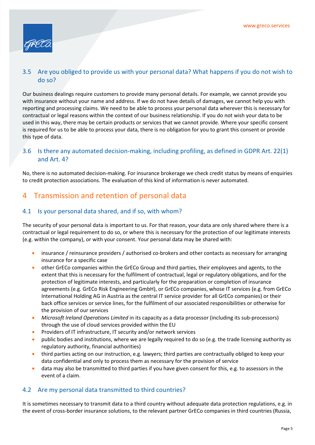

#### 3.5 Are you obliged to provide us with your personal data? What happens if you do not wish to do so?

Our business dealings require customers to provide many personal details. For example, we cannot provide you with insurance without your name and address. If we do not have details of damages, we cannot help you with reporting and processing claims. We need to be able to process your personal data wherever this is necessary for contractual or legal reasons within the context of our business relationship. If you do not wish your data to be used in this way, there may be certain products or services that we cannot provide. Where your specific consent is required for us to be able to process your data, there is no obligation for you to grant this consent or provide this type of data.

#### 3.6 Is there any automated decision-making, including profiling, as defined in GDPR Art. 22(1) and Art. 4?

No, there is no automated decision-making. For insurance brokerage we check credit status by means of enquiries to credit protection associations. The evaluation of this kind of information is never automated.

# 4 Transmission and retention of personal data

#### 4.1 Is your personal data shared, and if so, with whom?

The security of your personal data is important to us. For that reason, your data are only shared where there is a contractual or legal requirement to do so, or where this is necessary for the protection of our legitimate interests (e.g. within the company), or with your consent. Your personal data may be shared with:

- insurance / reinsurance providers / authorised co-brokers and other contacts as necessary for arranging insurance for a specific case
- other GrECo companies within the GrECo Group and third parties, their employees and agents, to the extent that this is necessary for the fulfilment of contractual, legal or regulatory obligations, and for the protection of legitimate interests, and particularly for the preparation or completion of insurance agreements (e.g. GrECo Risk Engineering GmbH), or GrECo companies, whose IT services (e.g. from GrECo International Holding AG in Austria as the central IT service provider for all GrECo companies) or their back office services or service lines, for the fulfilment of our associated responsibilities or otherwise for the provision of our services
- Microsoft Ireland Operations Limited in its capacity as a data processor (including its sub-processors) through the use of cloud services provided within the EU
- Providers of IT infrastructure, IT security and/or network services
- public bodies and institutions, where we are legally required to do so (e.g. the trade licensing authority as regulatory authority, financial authorities)
- third parties acting on our instruction, e.g. lawyers; third parties are contractually obliged to keep your data confidential and only to process them as necessary for the provision of service
- data may also be transmitted to third parties if you have given consent for this, e.g. to assessors in the event of a claim.

#### 4.2 Are my personal data transmitted to third countries?

It is sometimes necessary to transmit data to a third country without adequate data protection regulations, e.g. in the event of cross-border insurance solutions, to the relevant partner GrECo companies in third countries (Russia,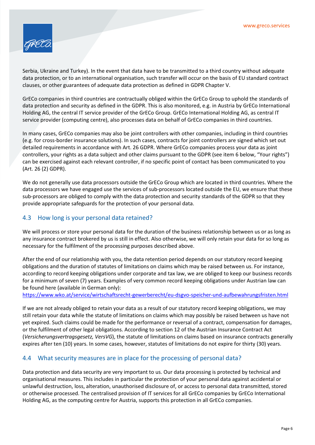

Serbia, Ukraine and Turkey). In the event that data have to be transmitted to a third country without adequate data protection, or to an international organisation, such transfer will occur on the basis of EU standard contract clauses, or other guarantees of adequate data protection as defined in GDPR Chapter V.

GrECo companies in third countries are contractually obliged within the GrECo Group to uphold the standards of data protection and security as defined in the GDPR. This is also monitored, e.g. in Austria by GrECo International Holding AG, the central IT service provider of the GrECo Group. GrECo International Holding AG, as central IT service provider (computing centre), also processes data on behalf of GrECo companies in third countries.

In many cases, GrECo companies may also be joint controllers with other companies, including in third countries (e.g. for cross-border insurance solutions). In such cases, contracts for joint controllers are signed which set out detailed requirements in accordance with Art. 26 GDPR. Where GrECo companies process your data as joint controllers, your rights as a data subject and other claims pursuant to the GDPR (see item 6 below, "Your rights") can be exercised against each relevant controller, if no specific point of contact has been communicated to you (Art. 26 (2) GDPR).

We do not generally use data processors outside the GrECo Group which are located in third countries. Where the data processors we have engaged use the services of sub-processors located outside the EU, we ensure that these sub-processors are obliged to comply with the data protection and security standards of the GDPR so that they provide appropriate safeguards for the protection of your personal data.

#### 4.3 How long is your personal data retained?

We will process or store your personal data for the duration of the business relationship between us or as long as any insurance contract brokered by us is still in effect. Also otherwise, we will only retain your data for so long as necessary for the fulfilment of the processing purposes described above.

After the end of our relationship with you, the data retention period depends on our statutory record keeping obligations and the duration of statutes of limitations on claims which may be raised between us. For instance, according to record keeping obligations under corporate and tax law, we are obliged to keep our business records for a minimum of seven (7) years. Examples of very common record keeping obligations under Austrian law can be found here (available in German only):

https://www.wko.at/service/wirtschaftsrecht-gewerberecht/eu-dsgvo-speicher-und-aufbewahrungsfristen.html

If we are not already obliged to retain your data as a result of our statutory record keeping obligations, we may still retain your data while the statute of limitations on claims which may possibly be raised between us have not yet expired. Such claims could be made for the performance or reversal of a contract, compensation for damages, or the fulfilment of other legal obligations. According to section 12 of the Austrian Insurance Contract Act (Versicherungsvertragsgesetz, VersVG), the statute of limitations on claims based on insurance contracts generally expires after ten (10) years. In some cases, however, statutes of limitations do not expire for thirty (30) years.

#### 4.4 What security measures are in place for the processing of personal data?

Data protection and data security are very important to us. Our data processing is protected by technical and organisational measures. This includes in particular the protection of your personal data against accidental or unlawful destruction, loss, alteration, unauthorised disclosure of, or access to personal data transmitted, stored or otherwise processed. The centralised provision of IT services for all GrECo companies by GrECo International Holding AG, as the computing centre for Austria, supports this protection in all GrECo companies.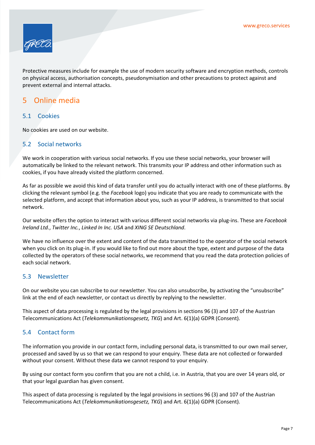

Protective measures include for example the use of modern security software and encryption methods, controls on physical access, authorisation concepts, pseudonymisation and other precautions to protect against and prevent external and internal attacks.

## 5 Online media

#### 5.1 Cookies

No cookies are used on our website.

#### 5.2 Social networks

We work in cooperation with various social networks. If you use these social networks, your browser will automatically be linked to the relevant network. This transmits your IP address and other information such as cookies, if you have already visited the platform concerned.

As far as possible we avoid this kind of data transfer until you do actually interact with one of these platforms. By clicking the relevant symbol (e.g. the Facebook logo) you indicate that you are ready to communicate with the selected platform, and accept that information about you, such as your IP address, is transmitted to that social network.

Our website offers the option to interact with various different social networks via plug-ins. These are Facebook Ireland Ltd., Twitter Inc., Linked In Inc. USA and XING SE Deutschland.

We have no influence over the extent and content of the data transmitted to the operator of the social network when you click on its plug-in. If you would like to find out more about the type, extent and purpose of the data collected by the operators of these social networks, we recommend that you read the data protection policies of each social network.

#### 5.3 Newsletter

On our website you can subscribe to our newsletter. You can also unsubscribe, by activating the "unsubscribe" link at the end of each newsletter, or contact us directly by replying to the newsletter.

This aspect of data processing is regulated by the legal provisions in sections 96 (3) and 107 of the Austrian Telecommunications Act (Telekommunikationsgesetz, TKG) and Art. 6(1)(a) GDPR (Consent).

#### 5.4 Contact form

The information you provide in our contact form, including personal data, is transmitted to our own mail server, processed and saved by us so that we can respond to your enquiry. These data are not collected or forwarded without your consent. Without these data we cannot respond to your enquiry.

By using our contact form you confirm that you are not a child, i.e. in Austria, that you are over 14 years old, or that your legal guardian has given consent.

This aspect of data processing is regulated by the legal provisions in sections 96 (3) and 107 of the Austrian Telecommunications Act (Telekommunikationsgesetz, TKG) and Art. 6(1)(a) GDPR (Consent).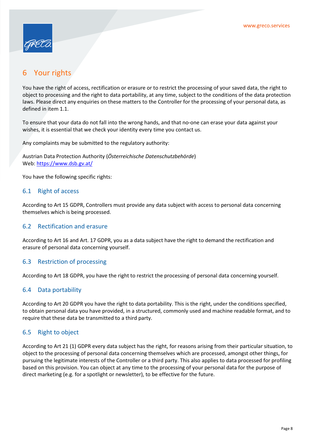

# 6 Your rights

You have the right of access, rectification or erasure or to restrict the processing of your saved data, the right to object to processing and the right to data portability, at any time, subject to the conditions of the data protection laws. Please direct any enquiries on these matters to the Controller for the processing of your personal data, as defined in item 1.1.

To ensure that your data do not fall into the wrong hands, and that no-one can erase your data against your wishes, it is essential that we check your identity every time you contact us.

Any complaints may be submitted to the regulatory authority:

Austrian Data Protection Authority (Österreichische Datenschutzbehörde) Web: https://www.dsb.gv.at/

You have the following specific rights:

#### 6.1 Right of access

According to Art 15 GDPR, Controllers must provide any data subject with access to personal data concerning themselves which is being processed.

#### 6.2 Rectification and erasure

According to Art 16 and Art. 17 GDPR, you as a data subject have the right to demand the rectification and erasure of personal data concerning yourself.

#### 6.3 Restriction of processing

According to Art 18 GDPR, you have the right to restrict the processing of personal data concerning yourself.

#### 6.4 Data portability

According to Art 20 GDPR you have the right to data portability. This is the right, under the conditions specified, to obtain personal data you have provided, in a structured, commonly used and machine readable format, and to require that these data be transmitted to a third party.

#### 6.5 Right to object

According to Art 21 (1) GDPR every data subject has the right, for reasons arising from their particular situation, to object to the processing of personal data concerning themselves which are processed, amongst other things, for pursuing the legitimate interests of the Controller or a third party. This also applies to data processed for profiling based on this provision. You can object at any time to the processing of your personal data for the purpose of direct marketing (e.g. for a spotlight or newsletter), to be effective for the future.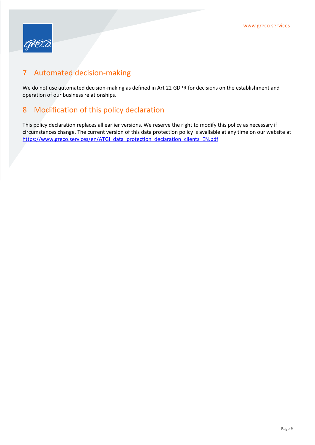

# 7 Automated decision-making

We do not use automated decision-making as defined in Art 22 GDPR for decisions on the establishment and operation of our business relationships.

# 8 Modification of this policy declaration

This policy declaration replaces all earlier versions. We reserve the right to modify this policy as necessary if circumstances change. The current version of this data protection policy is available at any time on our website at https://www.greco.services/en/ATGI\_data\_protection\_declaration\_clients\_EN.pdf